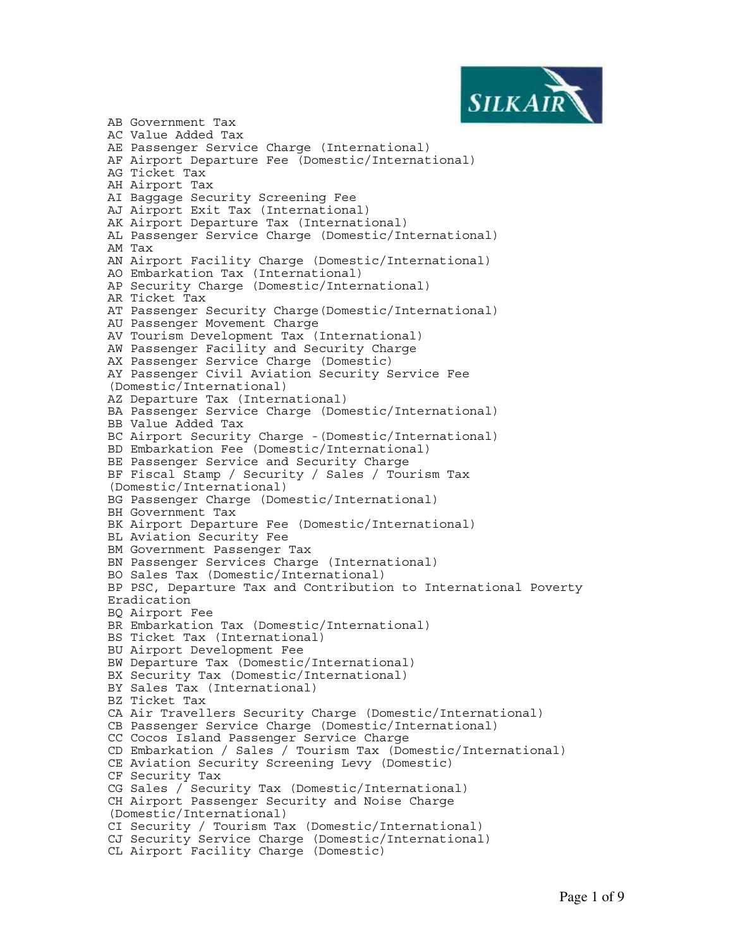

AB Government Tax AC Value Added Tax AE Passenger Service Charge (International) AF Airport Departure Fee (Domestic/International) AG Ticket Tax AH Airport Tax AI Baggage Security Screening Fee AJ Airport Exit Tax (International) AK Airport Departure Tax (International) AL Passenger Service Charge (Domestic/International) AM Tax AN Airport Facility Charge (Domestic/International) AO Embarkation Tax (International) AP Security Charge (Domestic/International) AR Ticket Tax AT Passenger Security Charge(Domestic/International) AU Passenger Movement Charge AV Tourism Development Tax (International) AW Passenger Facility and Security Charge AX Passenger Service Charge (Domestic) AY Passenger Civil Aviation Security Service Fee (Domestic/International) AZ Departure Tax (International) BA Passenger Service Charge (Domestic/International) BB Value Added Tax BC Airport Security Charge -(Domestic/International) BD Embarkation Fee (Domestic/International) BE Passenger Service and Security Charge BF Fiscal Stamp / Security / Sales / Tourism Tax (Domestic/International) BG Passenger Charge (Domestic/International) BH Government Tax BK Airport Departure Fee (Domestic/International) BL Aviation Security Fee BM Government Passenger Tax BN Passenger Services Charge (International) BO Sales Tax (Domestic/International) BP PSC, Departure Tax and Contribution to International Poverty Eradication BQ Airport Fee BR Embarkation Tax (Domestic/International) BS Ticket Tax (International) BU Airport Development Fee BW Departure Tax (Domestic/International) BX Security Tax (Domestic/International) BY Sales Tax (International) BZ Ticket Tax CA Air Travellers Security Charge (Domestic/International) CB Passenger Service Charge (Domestic/International) CC Cocos Island Passenger Service Charge CD Embarkation / Sales / Tourism Tax (Domestic/International) CE Aviation Security Screening Levy (Domestic) CF Security Tax CG Sales / Security Tax (Domestic/International) CH Airport Passenger Security and Noise Charge (Domestic/International) CI Security / Tourism Tax (Domestic/International) CJ Security Service Charge (Domestic/International) CL Airport Facility Charge (Domestic)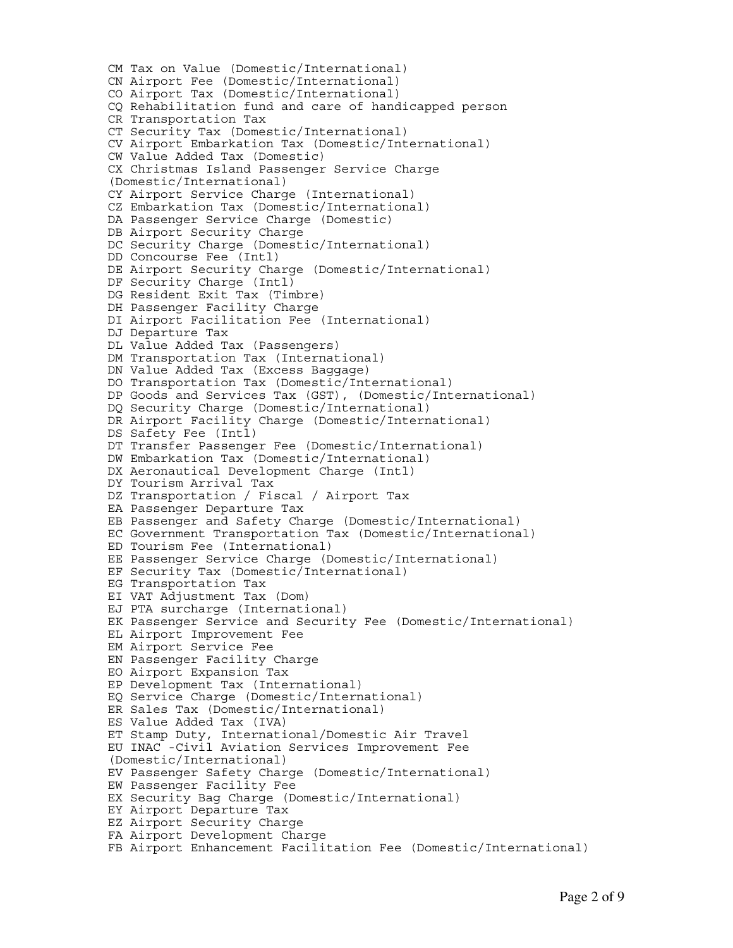CM Tax on Value (Domestic/International) CN Airport Fee (Domestic/International) CO Airport Tax (Domestic/International) CQ Rehabilitation fund and care of handicapped person CR Transportation Tax CT Security Tax (Domestic/International) CV Airport Embarkation Tax (Domestic/International) CW Value Added Tax (Domestic) CX Christmas Island Passenger Service Charge (Domestic/International) CY Airport Service Charge (International) CZ Embarkation Tax (Domestic/International) DA Passenger Service Charge (Domestic) DB Airport Security Charge DC Security Charge (Domestic/International) DD Concourse Fee (Intl) DE Airport Security Charge (Domestic/International) DF Security Charge (Intl) DG Resident Exit Tax (Timbre) DH Passenger Facility Charge DI Airport Facilitation Fee (International) DJ Departure Tax DL Value Added Tax (Passengers) DM Transportation Tax (International) DN Value Added Tax (Excess Baggage) DO Transportation Tax (Domestic/International) DP Goods and Services Tax (GST), (Domestic/International) DQ Security Charge (Domestic/International) DR Airport Facility Charge (Domestic/International) DS Safety Fee (Intl) DT Transfer Passenger Fee (Domestic/International) DW Embarkation Tax (Domestic/International) DX Aeronautical Development Charge (Intl) DY Tourism Arrival Tax DZ Transportation / Fiscal / Airport Tax EA Passenger Departure Tax EB Passenger and Safety Charge (Domestic/International) EC Government Transportation Tax (Domestic/International) ED Tourism Fee (International) EE Passenger Service Charge (Domestic/International) EF Security Tax (Domestic/International) EG Transportation Tax EI VAT Adjustment Tax (Dom) EJ PTA surcharge (International) EK Passenger Service and Security Fee (Domestic/International) EL Airport Improvement Fee EM Airport Service Fee EN Passenger Facility Charge EO Airport Expansion Tax EP Development Tax (International) EQ Service Charge (Domestic/International) ER Sales Tax (Domestic/International) ES Value Added Tax (IVA) ET Stamp Duty, International/Domestic Air Travel EU INAC -Civil Aviation Services Improvement Fee (Domestic/International) EV Passenger Safety Charge (Domestic/International) EW Passenger Facility Fee EX Security Bag Charge (Domestic/International) EY Airport Departure Tax EZ Airport Security Charge FA Airport Development Charge FB Airport Enhancement Facilitation Fee (Domestic/International)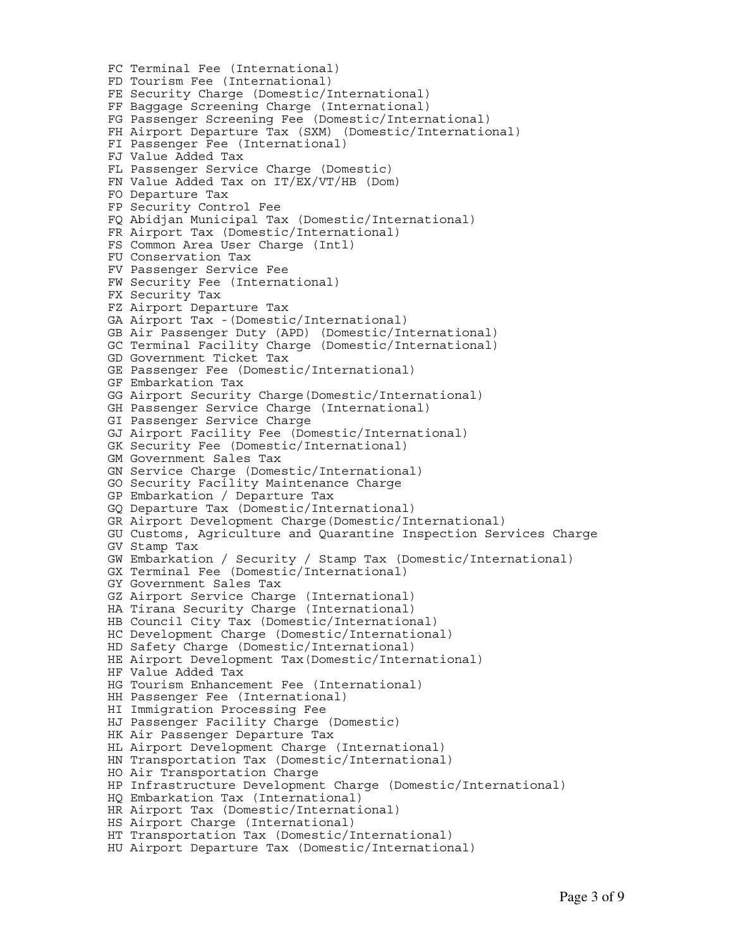```
FC Terminal Fee (International) 
FD Tourism Fee (International) 
FE Security Charge (Domestic/International) 
FF Baggage Screening Charge (International) 
FG Passenger Screening Fee (Domestic/International) 
FH Airport Departure Tax (SXM) (Domestic/International) 
FI Passenger Fee (International) 
FJ Value Added Tax 
FL Passenger Service Charge (Domestic) 
FN Value Added Tax on IT/EX/VT/HB (Dom) 
FO Departure Tax 
FP Security Control Fee 
FQ Abidjan Municipal Tax (Domestic/International) 
FR Airport Tax (Domestic/International) 
FS Common Area User Charge (Intl) 
FU Conservation Tax 
FV Passenger Service Fee 
FW Security Fee (International) 
FX Security Tax 
FZ Airport Departure Tax 
GA Airport Tax -(Domestic/International) 
GB Air Passenger Duty (APD) (Domestic/International) 
GC Terminal Facility Charge (Domestic/International) 
GD Government Ticket Tax 
GE Passenger Fee (Domestic/International) 
GF Embarkation Tax 
GG Airport Security Charge(Domestic/International) 
GH Passenger Service Charge (International) 
GI Passenger Service Charge 
GJ Airport Facility Fee (Domestic/International) 
GK Security Fee (Domestic/International) 
GM Government Sales Tax 
GN Service Charge (Domestic/International) 
GO Security Facility Maintenance Charge 
GP Embarkation / Departure Tax 
GQ Departure Tax (Domestic/International) 
GR Airport Development Charge(Domestic/International) 
GU Customs, Agriculture and Quarantine Inspection Services Charge 
GV Stamp Tax 
GW Embarkation / Security / Stamp Tax (Domestic/International) 
GX Terminal Fee (Domestic/International) 
GY Government Sales Tax 
GZ Airport Service Charge (International) 
HA Tirana Security Charge (International) 
HB Council City Tax (Domestic/International) 
HC Development Charge (Domestic/International) 
HD Safety Charge (Domestic/International) 
HE Airport Development Tax(Domestic/International) 
HF Value Added Tax 
HG Tourism Enhancement Fee (International) 
HH Passenger Fee (International) 
HI Immigration Processing Fee 
HJ Passenger Facility Charge (Domestic) 
HK Air Passenger Departure Tax 
HL Airport Development Charge (International) 
HN Transportation Tax (Domestic/International) 
HO Air Transportation Charge 
HP Infrastructure Development Charge (Domestic/International) 
HQ Embarkation Tax (International) 
HR Airport Tax (Domestic/International) 
HS Airport Charge (International) 
HT Transportation Tax (Domestic/International) 
HU Airport Departure Tax (Domestic/International)
```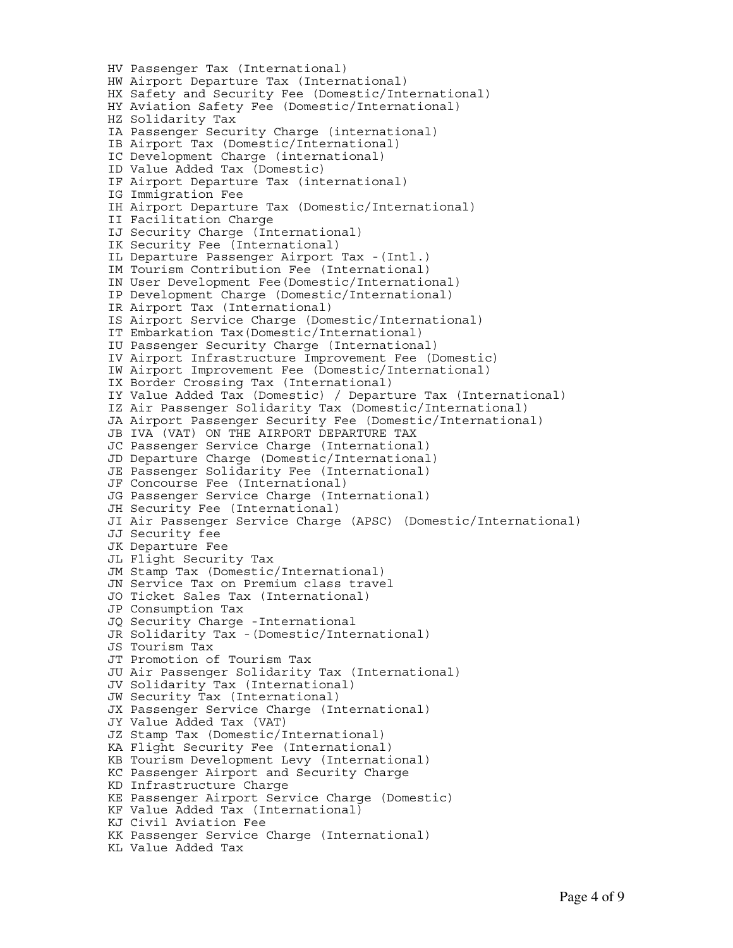HV Passenger Tax (International) HW Airport Departure Tax (International) HX Safety and Security Fee (Domestic/International) HY Aviation Safety Fee (Domestic/International) HZ Solidarity Tax IA Passenger Security Charge (international) IB Airport Tax (Domestic/International) IC Development Charge (international) ID Value Added Tax (Domestic) IF Airport Departure Tax (international) IG Immigration Fee IH Airport Departure Tax (Domestic/International) II Facilitation Charge IJ Security Charge (International) IK Security Fee (International) IL Departure Passenger Airport Tax -(Intl.) IM Tourism Contribution Fee (International) IN User Development Fee(Domestic/International) IP Development Charge (Domestic/International) IR Airport Tax (International) IS Airport Service Charge (Domestic/International) IT Embarkation Tax(Domestic/International) IU Passenger Security Charge (International) IV Airport Infrastructure Improvement Fee (Domestic) IW Airport Improvement Fee (Domestic/International) IX Border Crossing Tax (International) IY Value Added Tax (Domestic) / Departure Tax (International) IZ Air Passenger Solidarity Tax (Domestic/International) JA Airport Passenger Security Fee (Domestic/International) JB IVA (VAT) ON THE AIRPORT DEPARTURE TAX JC Passenger Service Charge (International) JD Departure Charge (Domestic/International) JE Passenger Solidarity Fee (International) JF Concourse Fee (International) JG Passenger Service Charge (International) JH Security Fee (International) JI Air Passenger Service Charge (APSC) (Domestic/International) JJ Security fee JK Departure Fee JL Flight Security Tax JM Stamp Tax (Domestic/International) JN Service Tax on Premium class travel JO Ticket Sales Tax (International) JP Consumption Tax JQ Security Charge -International JR Solidarity Tax -(Domestic/International) JS Tourism Tax JT Promotion of Tourism Tax JU Air Passenger Solidarity Tax (International) JV Solidarity Tax (International) JW Security Tax (International) JX Passenger Service Charge (International) JY Value Added Tax (VAT) JZ Stamp Tax (Domestic/International) KA Flight Security Fee (International) KB Tourism Development Levy (International) KC Passenger Airport and Security Charge KD Infrastructure Charge KE Passenger Airport Service Charge (Domestic) KF Value Added Tax (International) KJ Civil Aviation Fee KK Passenger Service Charge (International) KL Value Added Tax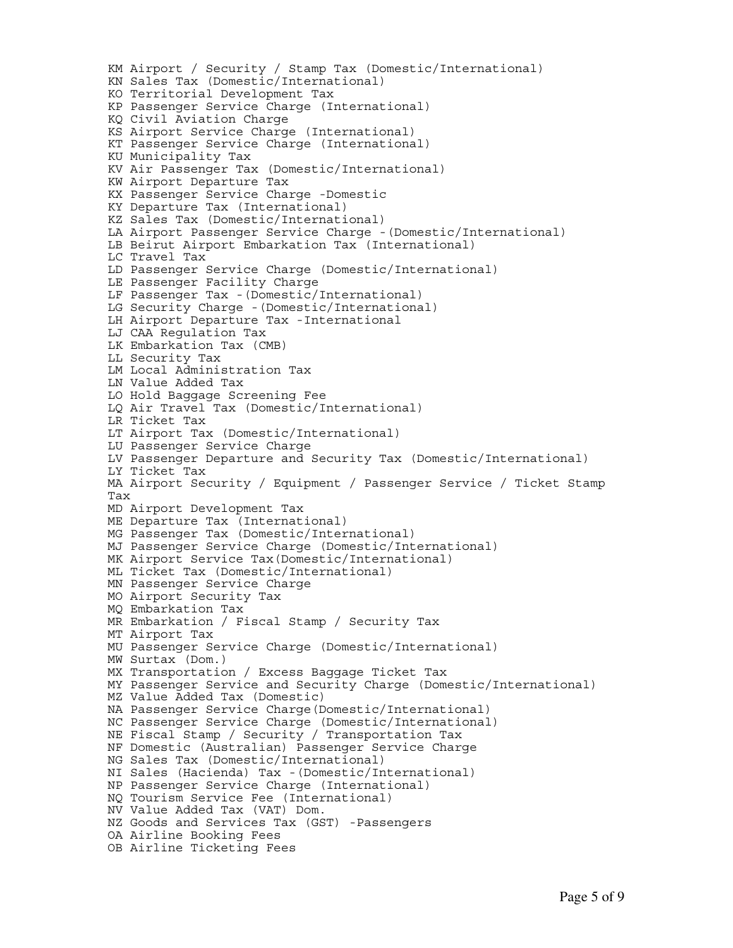```
KM Airport / Security / Stamp Tax (Domestic/International) 
KN Sales Tax (Domestic/International) 
KO Territorial Development Tax 
KP Passenger Service Charge (International) 
KQ Civil Aviation Charge 
KS Airport Service Charge (International) 
KT Passenger Service Charge (International) 
KU Municipality Tax 
KV Air Passenger Tax (Domestic/International) 
KW Airport Departure Tax 
KX Passenger Service Charge -Domestic 
KY Departure Tax (International) 
KZ Sales Tax (Domestic/International) 
LA Airport Passenger Service Charge -(Domestic/International) 
LB Beirut Airport Embarkation Tax (International) 
LC Travel Tax 
LD Passenger Service Charge (Domestic/International) 
LE Passenger Facility Charge 
LF Passenger Tax -(Domestic/International) 
LG Security Charge -(Domestic/International) 
LH Airport Departure Tax -International 
LJ CAA Regulation Tax 
LK Embarkation Tax (CMB) 
LL Security Tax 
LM Local Administration Tax 
LN Value Added Tax 
LO Hold Baggage Screening Fee 
LQ Air Travel Tax (Domestic/International) 
LR Ticket Tax 
LT Airport Tax (Domestic/International) 
LU Passenger Service Charge 
LV Passenger Departure and Security Tax (Domestic/International) 
LY Ticket Tax 
MA Airport Security / Equipment / Passenger Service / Ticket Stamp 
Tax 
MD Airport Development Tax 
ME Departure Tax (International) 
MG Passenger Tax (Domestic/International) 
MJ Passenger Service Charge (Domestic/International) 
MK Airport Service Tax(Domestic/International) 
ML Ticket Tax (Domestic/International) 
MN Passenger Service Charge 
MO Airport Security Tax 
MQ Embarkation Tax 
MR Embarkation / Fiscal Stamp / Security Tax 
MT Airport Tax 
MU Passenger Service Charge (Domestic/International) 
MW Surtax (Dom.) 
MX Transportation / Excess Baggage Ticket Tax 
MY Passenger Service and Security Charge (Domestic/International) 
MZ Value Added Tax (Domestic) 
NA Passenger Service Charge(Domestic/International) 
NC Passenger Service Charge (Domestic/International) 
NE Fiscal Stamp / Security / Transportation Tax 
NF Domestic (Australian) Passenger Service Charge 
NG Sales Tax (Domestic/International) 
NI Sales (Hacienda) Tax -(Domestic/International) 
NP Passenger Service Charge (International) 
NQ Tourism Service Fee (International) 
NV Value Added Tax (VAT) Dom. 
NZ Goods and Services Tax (GST) -Passengers 
OA Airline Booking Fees 
OB Airline Ticketing Fees
```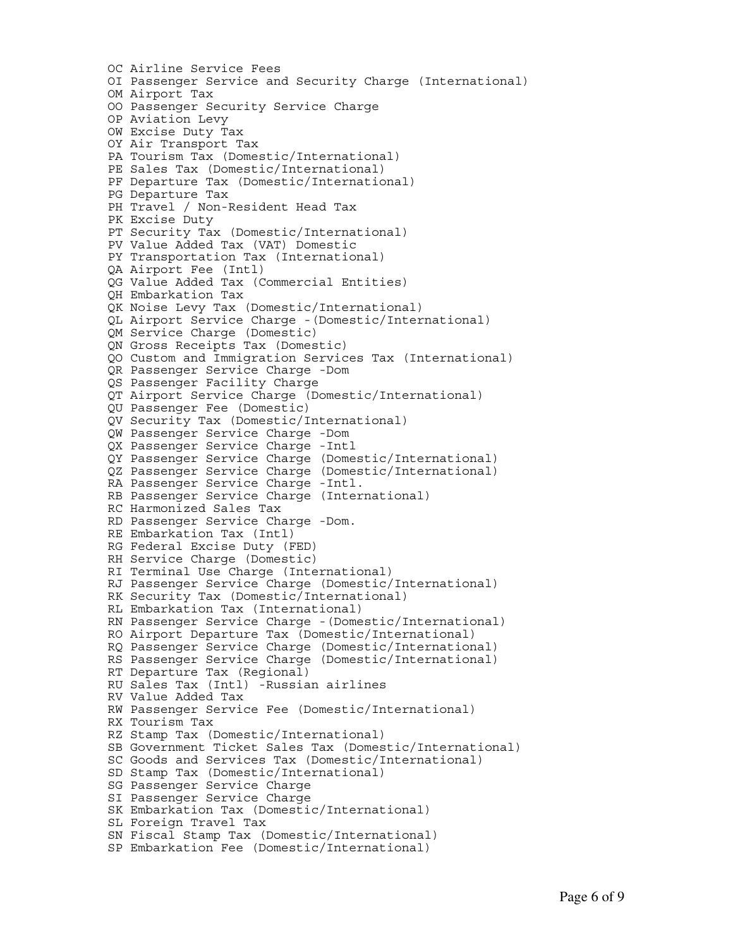```
OC Airline Service Fees 
OI Passenger Service and Security Charge (International) 
OM Airport Tax 
OO Passenger Security Service Charge 
OP Aviation Levy 
OW Excise Duty Tax 
OY Air Transport Tax 
PA Tourism Tax (Domestic/International) 
PE Sales Tax (Domestic/International) 
PF Departure Tax (Domestic/International) 
PG Departure Tax 
PH Travel / Non-Resident Head Tax 
PK Excise Duty 
PT Security Tax (Domestic/International) 
PV Value Added Tax (VAT) Domestic 
PY Transportation Tax (International) 
QA Airport Fee (Intl) 
QG Value Added Tax (Commercial Entities) 
QH Embarkation Tax 
QK Noise Levy Tax (Domestic/International) 
QL Airport Service Charge -(Domestic/International) 
QM Service Charge (Domestic) 
QN Gross Receipts Tax (Domestic) 
QO Custom and Immigration Services Tax (International) 
QR Passenger Service Charge -Dom 
QS Passenger Facility Charge 
QT Airport Service Charge (Domestic/International) 
QU Passenger Fee (Domestic) 
QV Security Tax (Domestic/International) 
QW Passenger Service Charge -Dom 
QX Passenger Service Charge -Intl 
QY Passenger Service Charge (Domestic/International) 
QZ Passenger Service Charge (Domestic/International) 
RA Passenger Service Charge -Intl. 
RB Passenger Service Charge (International) 
RC Harmonized Sales Tax 
RD Passenger Service Charge -Dom. 
RE Embarkation Tax (Intl) 
RG Federal Excise Duty (FED) 
RH Service Charge (Domestic) 
RI Terminal Use Charge (International) 
RJ Passenger Service Charge (Domestic/International) 
RK Security Tax (Domestic/International) 
RL Embarkation Tax (International) 
RN Passenger Service Charge -(Domestic/International) 
RO Airport Departure Tax (Domestic/International) 
RQ Passenger Service Charge (Domestic/International) 
RS Passenger Service Charge (Domestic/International) 
RT Departure Tax (Regional) 
RU Sales Tax (Intl) -Russian airlines 
RV Value Added Tax 
RW Passenger Service Fee (Domestic/International) 
RX Tourism Tax 
RZ Stamp Tax (Domestic/International) 
SB Government Ticket Sales Tax (Domestic/International) 
SC Goods and Services Tax (Domestic/International) 
SD Stamp Tax (Domestic/International) 
SG Passenger Service Charge 
SI Passenger Service Charge 
SK Embarkation Tax (Domestic/International) 
SL Foreign Travel Tax 
SN Fiscal Stamp Tax (Domestic/International) 
SP Embarkation Fee (Domestic/International)
```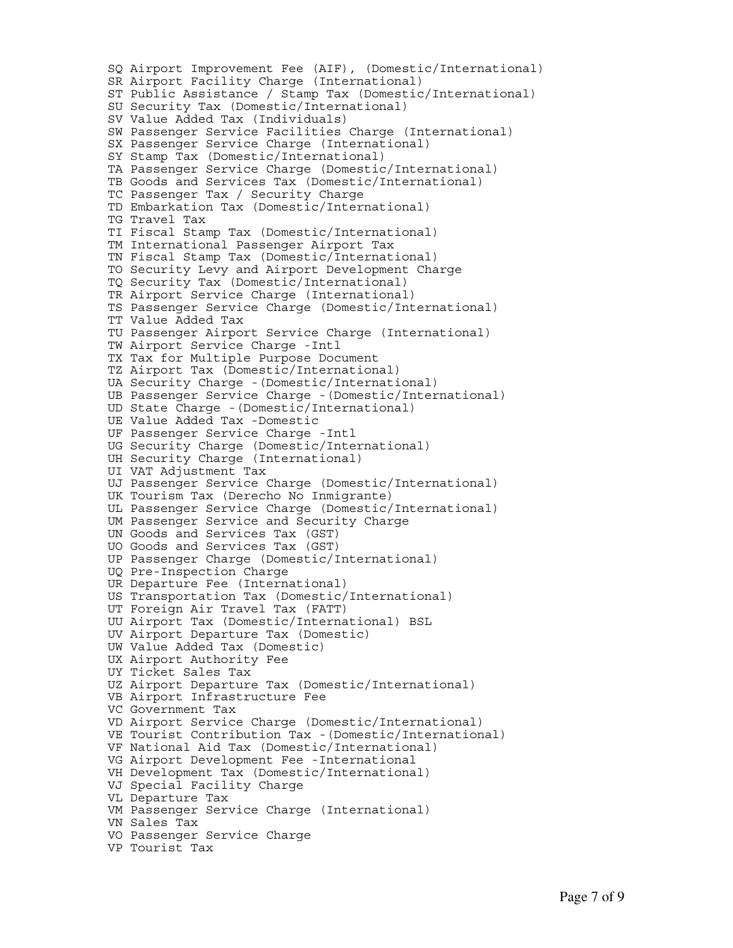SQ Airport Improvement Fee (AIF), (Domestic/International) SR Airport Facility Charge (International) ST Public Assistance / Stamp Tax (Domestic/International) SU Security Tax (Domestic/International) SV Value Added Tax (Individuals) SW Passenger Service Facilities Charge (International) SX Passenger Service Charge (International) SY Stamp Tax (Domestic/International) TA Passenger Service Charge (Domestic/International) TB Goods and Services Tax (Domestic/International) TC Passenger Tax / Security Charge TD Embarkation Tax (Domestic/International) TG Travel Tax TI Fiscal Stamp Tax (Domestic/International) TM International Passenger Airport Tax TN Fiscal Stamp Tax (Domestic/International) TO Security Levy and Airport Development Charge TQ Security Tax (Domestic/International) TR Airport Service Charge (International) TS Passenger Service Charge (Domestic/International) TT Value Added Tax TU Passenger Airport Service Charge (International) TW Airport Service Charge -Intl TX Tax for Multiple Purpose Document TZ Airport Tax (Domestic/International) UA Security Charge -(Domestic/International) UB Passenger Service Charge -(Domestic/International) UD State Charge -(Domestic/International) UE Value Added Tax -Domestic UF Passenger Service Charge -Intl UG Security Charge (Domestic/International) UH Security Charge (International) UI VAT Adjustment Tax UJ Passenger Service Charge (Domestic/International) UK Tourism Tax (Derecho No Inmigrante) UL Passenger Service Charge (Domestic/International) UM Passenger Service and Security Charge UN Goods and Services Tax (GST) UO Goods and Services Tax (GST) UP Passenger Charge (Domestic/International) UQ Pre-Inspection Charge UR Departure Fee (International) US Transportation Tax (Domestic/International) UT Foreign Air Travel Tax (FATT) UU Airport Tax (Domestic/International) BSL UV Airport Departure Tax (Domestic) UW Value Added Tax (Domestic) UX Airport Authority Fee UY Ticket Sales Tax UZ Airport Departure Tax (Domestic/International) VB Airport Infrastructure Fee VC Government Tax VD Airport Service Charge (Domestic/International) VE Tourist Contribution Tax -(Domestic/International) VF National Aid Tax (Domestic/International) VG Airport Development Fee -International VH Development Tax (Domestic/International) VJ Special Facility Charge VL Departure Tax VM Passenger Service Charge (International) VN Sales Tax VO Passenger Service Charge VP Tourist Tax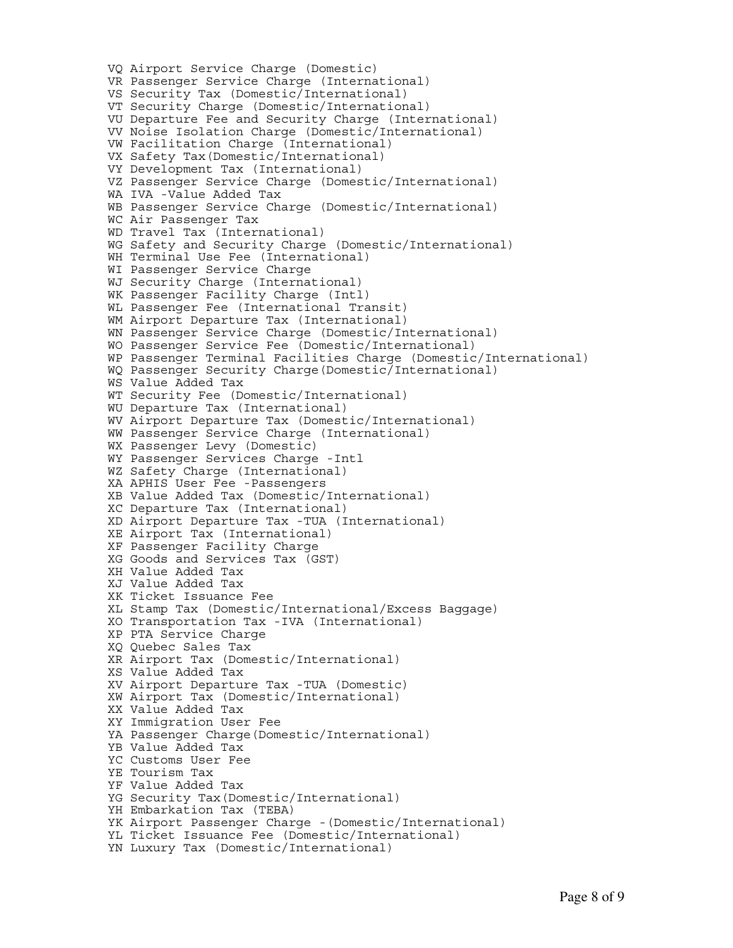VQ Airport Service Charge (Domestic) VR Passenger Service Charge (International) VS Security Tax (Domestic/International) VT Security Charge (Domestic/International) VU Departure Fee and Security Charge (International) VV Noise Isolation Charge (Domestic/International) VW Facilitation Charge (International) VX Safety Tax(Domestic/International) VY Development Tax (International) VZ Passenger Service Charge (Domestic/International) WA IVA -Value Added Tax WB Passenger Service Charge (Domestic/International) WC Air Passenger Tax WD Travel Tax (International) WG Safety and Security Charge (Domestic/International) WH Terminal Use Fee (International) WI Passenger Service Charge WJ Security Charge (International) WK Passenger Facility Charge (Intl) WL Passenger Fee (International Transit) WM Airport Departure Tax (International) WN Passenger Service Charge (Domestic/International) WO Passenger Service Fee (Domestic/International) WP Passenger Terminal Facilities Charge (Domestic/International) WQ Passenger Security Charge(Domestic/International) WS Value Added Tax WT Security Fee (Domestic/International) WU Departure Tax (International) WV Airport Departure Tax (Domestic/International) WW Passenger Service Charge (International) WX Passenger Levy (Domestic) WY Passenger Services Charge -Intl WZ Safety Charge (International) XA APHIS User Fee -Passengers XB Value Added Tax (Domestic/International) XC Departure Tax (International) XD Airport Departure Tax -TUA (International) XE Airport Tax (International) XF Passenger Facility Charge XG Goods and Services Tax (GST) XH Value Added Tax XJ Value Added Tax XK Ticket Issuance Fee XL Stamp Tax (Domestic/International/Excess Baggage) XO Transportation Tax -IVA (International) XP PTA Service Charge XQ Quebec Sales Tax XR Airport Tax (Domestic/International) XS Value Added Tax XV Airport Departure Tax -TUA (Domestic) XW Airport Tax (Domestic/International) XX Value Added Tax XY Immigration User Fee YA Passenger Charge(Domestic/International) YB Value Added Tax YC Customs User Fee YE Tourism Tax YF Value Added Tax YG Security Tax(Domestic/International) YH Embarkation Tax (TEBA) YK Airport Passenger Charge -(Domestic/International) YL Ticket Issuance Fee (Domestic/International) YN Luxury Tax (Domestic/International)